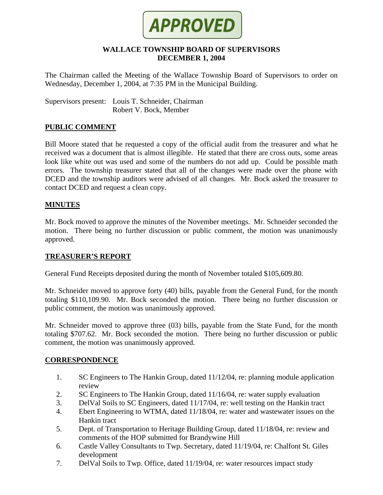

#### **WALLACE TOWNSHIP BOARD OF SUPERVISORS DECEMBER 1, 2004**

The Chairman called the Meeting of the Wallace Township Board of Supervisors to order on Wednesday, December 1, 2004, at 7:35 PM in the Municipal Building.

Supervisors present: Louis T. Schneider, Chairman Robert V. Bock, Member

# **PUBLIC COMMENT**

Bill Moore stated that he requested a copy of the official audit from the treasurer and what he received was a document that is almost illegible. He stated that there are cross outs, some areas look like white out was used and some of the numbers do not add up. Could be possible math errors. The township treasurer stated that all of the changes were made over the phone with DCED and the township auditors were advised of all changes. Mr. Bock asked the treasurer to contact DCED and request a clean copy.

#### **MINUTES**

Mr. Bock moved to approve the minutes of the November meetings. Mr. Schneider seconded the motion. There being no further discussion or public comment, the motion was unanimously approved.

#### **TREASURER'S REPORT**

General Fund Receipts deposited during the month of November totaled \$105,609.80.

Mr. Schneider moved to approve forty (40) bills, payable from the General Fund, for the month totaling \$110,109.90. Mr. Bock seconded the motion. There being no further discussion or public comment, the motion was unanimously approved.

Mr. Schneider moved to approve three (03) bills, payable from the State Fund, for the month totaling \$707.62. Mr. Bock seconded the motion. There being no further discussion or public comment, the motion was unanimously approved.

#### **CORRESPONDENCE**

- 1. SC Engineers to The Hankin Group, dated 11/12/04, re: planning module application review
- 2. SC Engineers to The Hankin Group, dated 11/16/04, re: water supply evaluation
- 3. DelVal Soils to SC Engineers, dated 11/17/04, re: well testing on the Hankin tract
- 4. Ebert Engineering to WTMA, dated 11/18/04, re: water and wastewater issues on the Hankin tract
- 5. Dept. of Transportation to Heritage Building Group, dated 11/18/04, re: review and comments of the HOP submitted for Brandywine Hill
- 6. Castle Valley Consultants to Twp. Secretary, dated 11/19/04, re: Chalfont St. Giles development
- 7. DelVal Soils to Twp. Office, dated 11/19/04, re: water resources impact study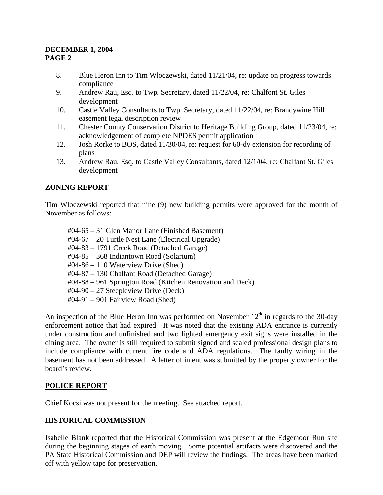# **DECEMBER 1, 2004 PAGE 2**

- 8. Blue Heron Inn to Tim Wloczewski, dated 11/21/04, re: update on progress towards compliance
- 9. Andrew Rau, Esq. to Twp. Secretary, dated 11/22/04, re: Chalfont St. Giles development
- 10. Castle Valley Consultants to Twp. Secretary, dated 11/22/04, re: Brandywine Hill easement legal description review
- 11. Chester County Conservation District to Heritage Building Group, dated 11/23/04, re: acknowledgement of complete NPDES permit application
- 12. Josh Rorke to BOS, dated 11/30/04, re: request for 60-dy extension for recording of plans
- 13. Andrew Rau, Esq. to Castle Valley Consultants, dated 12/1/04, re: Chalfant St. Giles development

# **ZONING REPORT**

Tim Wloczewski reported that nine (9) new building permits were approved for the month of November as follows:

#04-65 – 31 Glen Manor Lane (Finished Basement) #04-67 – 20 Turtle Nest Lane (Electrical Upgrade) #04-83 – 1791 Creek Road (Detached Garage) #04-85 – 368 Indiantown Road (Solarium) #04-86 – 110 Waterview Drive (Shed) #04-87 – 130 Chalfant Road (Detached Garage) #04-88 – 961 Springton Road (Kitchen Renovation and Deck) #04-90 – 27 Steepleview Drive (Deck) #04-91 – 901 Fairview Road (Shed)

An inspection of the Blue Heron Inn was performed on November  $12<sup>th</sup>$  in regards to the 30-day enforcement notice that had expired. It was noted that the existing ADA entrance is currently under construction and unfinished and two lighted emergency exit signs were installed in the dining area. The owner is still required to submit signed and sealed professional design plans to include compliance with current fire code and ADA regulations. The faulty wiring in the basement has not been addressed. A letter of intent was submitted by the property owner for the board's review.

# **POLICE REPORT**

Chief Kocsi was not present for the meeting. See attached report.

# **HISTORICAL COMMISSION**

Isabelle Blank reported that the Historical Commission was present at the Edgemoor Run site during the beginning stages of earth moving. Some potential artifacts were discovered and the PA State Historical Commission and DEP will review the findings. The areas have been marked off with yellow tape for preservation.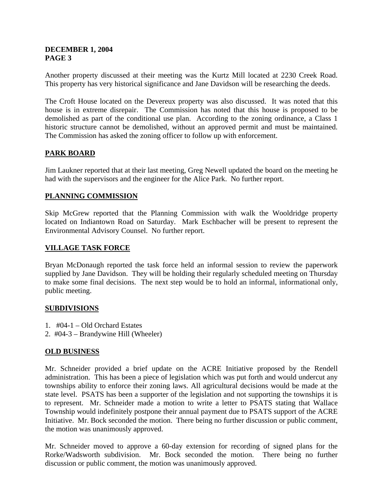#### **DECEMBER 1, 2004 PAGE 3**

Another property discussed at their meeting was the Kurtz Mill located at 2230 Creek Road. This property has very historical significance and Jane Davidson will be researching the deeds.

The Croft House located on the Devereux property was also discussed. It was noted that this house is in extreme disrepair. The Commission has noted that this house is proposed to be demolished as part of the conditional use plan. According to the zoning ordinance, a Class 1 historic structure cannot be demolished, without an approved permit and must be maintained. The Commission has asked the zoning officer to follow up with enforcement.

# **PARK BOARD**

Jim Laukner reported that at their last meeting, Greg Newell updated the board on the meeting he had with the supervisors and the engineer for the Alice Park. No further report.

# **PLANNING COMMISSION**

Skip McGrew reported that the Planning Commission with walk the Wooldridge property located on Indiantown Road on Saturday. Mark Eschbacher will be present to represent the Environmental Advisory Counsel. No further report.

# **VILLAGE TASK FORCE**

Bryan McDonaugh reported the task force held an informal session to review the paperwork supplied by Jane Davidson. They will be holding their regularly scheduled meeting on Thursday to make some final decisions. The next step would be to hold an informal, informational only, public meeting.

# **SUBDIVISIONS**

- 1. #04-1 Old Orchard Estates
- 2. #04-3 Brandywine Hill (Wheeler)

# **OLD BUSINESS**

Mr. Schneider provided a brief update on the ACRE Initiative proposed by the Rendell administration. This has been a piece of legislation which was put forth and would undercut any townships ability to enforce their zoning laws. All agricultural decisions would be made at the state level. PSATS has been a supporter of the legislation and not supporting the townships it is to represent. Mr. Schneider made a motion to write a letter to PSATS stating that Wallace Township would indefinitely postpone their annual payment due to PSATS support of the ACRE Initiative. Mr. Bock seconded the motion. There being no further discussion or public comment, the motion was unanimously approved.

Mr. Schneider moved to approve a 60-day extension for recording of signed plans for the Rorke/Wadsworth subdivision. Mr. Bock seconded the motion. There being no further discussion or public comment, the motion was unanimously approved.